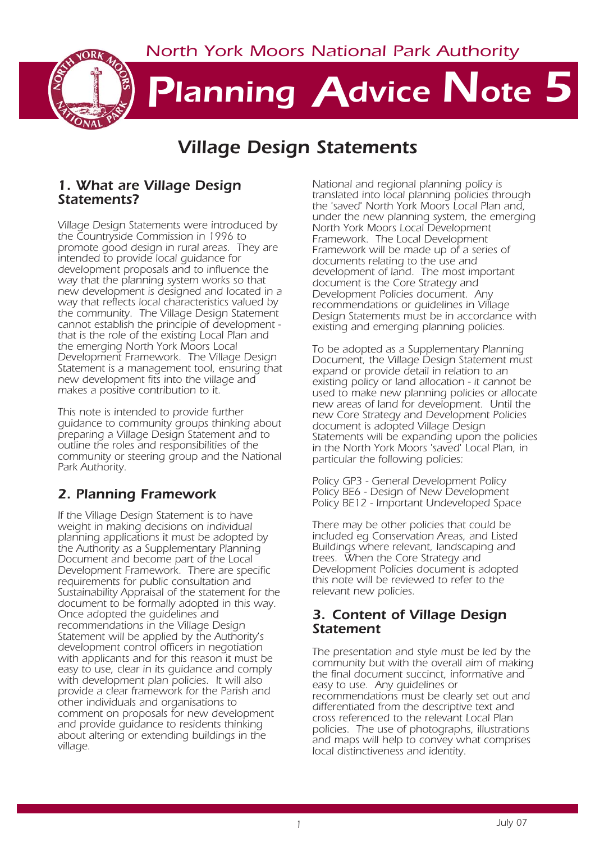*North York Moors National Park Authority*



# *Planning Advice Note 5*

# *Village Design Statements*

#### *1. What are Village Design Statements?*

*Village Design Statements were introduced by the Countryside Commission in 1996 to promote good design in rural areas. They are intended to provide local guidance for development proposals and to influence the way that the planning system works so that new development is designed and located in a way that reflects local characteristics valued by the community. The Village Design Statement cannot establish the principle of development that is the role of the existing Local Plan and the emerging North York Moors Local Development Framework. The Village Design Statement is a management tool, ensuring that new development fits into the village and makes a positive contribution to it.*

*This note is intended to provide further guidance to community groups thinking about preparing a Village Design Statement and to outline the roles and responsibilities of the community or steering group and the National Park Authority.* 

# *2. Planning Framework*

*If the Village Design Statement is to have weight in making decisions on individual planning applications it must be adopted by the Authority as a Supplementary Planning Document and become part of the Local Development Framework. There are specific requirements for public consultation and Sustainability Appraisal of the statement for the document to be formally adopted in this way. Once adopted the guidelines and recommendations in the Village Design Statement will be applied by the Authority's development control officers in negotiation with applicants and for this reason it must be easy to use, clear in its guidance and comply with development plan policies. It will also provide a clear framework for the Parish and other individuals and organisations to comment on proposals for new development and provide guidance to residents thinking about altering or extending buildings in the village.*

*National and regional planning policy is translated into local planning policies through the 'saved' North York Moors Local Plan and, under the new planning system, the emerging North York Moors Local Development Framework. The Local Development Framework will be made up of a series of documents relating to the use and development of land. The most important document is the Core Strategy and Development Policies document. Any recommendations or guidelines in Village Design Statements must be in accordance with existing and emerging planning policies.*

*To be adopted as a Supplementary Planning Document, the Village Design Statement must expand or provide detail in relation to an existing policy or land allocation - it cannot be used to make new planning policies or allocate new areas of land for development. Until the new Core Strategy and Development Policies document is adopted Village Design Statements will be expanding upon the policies in the North York Moors 'saved' Local Plan, in particular the following policies:*

*Policy GP3 - General Development Policy Policy BE6 - Design of New Development Policy BE12 - Important Undeveloped Space*

*There may be other policies that could be included eg Conservation Areas, and Listed Buildings where relevant, landscaping and trees. When the Core Strategy and Development Policies document is adopted this note will be reviewed to refer to the relevant new policies.*

#### *3. Content of Village Design Statement*

*The presentation and style must be led by the community but with the overall aim of making the final document succinct, informative and easy to use. Any guidelines or recommendations must be clearly set out and differentiated from the descriptive text and cross referenced to the relevant Local Plan policies. The use of photographs, illustrations and maps will help to convey what comprises local distinctiveness and identity.*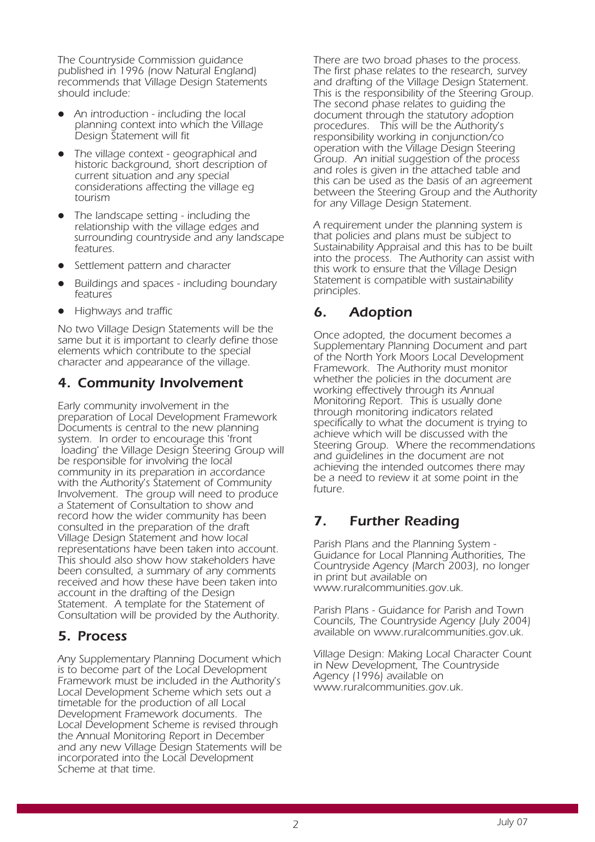*The Countryside Commission guidance published in 1996 (now Natural England) recommends that Village Design Statements should include:*

- z *An introduction including the local planning context into which the Village Design Statement will fit*
- z *The village context geographical and historic background, short description of current situation and any special considerations affecting the village eg tourism*
- z *The landscape setting including the relationship with the village edges and surrounding countryside and any landscape features.*
- z *Settlement pattern and character*
- z *Buildings and spaces including boundary features*
- z *Highways and traffic*

*No two Village Design Statements will be the same but it is important to clearly define those elements which contribute to the special character and appearance of the village.*

#### *4. Community Involvement*

*Early community involvement in the preparation of Local Development Framework Documents is central to the new planning system. In order to encourage this 'front loading' the Village Design Steering Group will be responsible for involving the local community in its preparation in accordance with the Authority's Statement of Community Involvement. The group will need to produce a Statement of Consultation to show and record how the wider community has been consulted in the preparation of the draft Village Design Statement and how local representations have been taken into account. This should also show how stakeholders have been consulted, a summary of any comments received and how these have been taken into account in the drafting of the Design Statement. A template for the Statement of Consultation will be provided by the Authority.*

### *5. Process*

*Any Supplementary Planning Document which is to become part of the Local Development Framework must be included in the Authority's Local Development Scheme which sets out a timetable for the production of all Local Development Framework documents. The Local Development Scheme is revised through the Annual Monitoring Report in December and any new Village Design Statements will be incorporated into the Local Development Scheme at that time.*

*There are two broad phases to the process. The first phase relates to the research, survey and drafting of the Village Design Statement. This is the responsibility of the Steering Group. The second phase relates to guiding the document through the statutory adoption procedures. This will be the Authority's responsibility working in conjunction/co operation with the Village Design Steering Group. An initial suggestion of the process and roles is given in the attached table and this can be used as the basis of an agreement between the Steering Group and the Authority for any Village Design Statement.*

*A requirement under the planning system is that policies and plans must be subject to Sustainability Appraisal and this has to be built into the process. The Authority can assist with this work to ensure that the Village Design Statement is compatible with sustainability principles.*

# *6. Adoption*

*Once adopted, the document becomes a Supplementary Planning Document and part of the North York Moors Local Development Framework. The Authority must monitor whether the policies in the document are working effectively through its Annual Monitoring Report. This is usually done through monitoring indicators related specifically to what the document is trying to achieve which will be discussed with the Steering Group. Where the recommendations and guidelines in the document are not achieving the intended outcomes there may be a need to review it at some point in the future.*

# *7. Further Reading*

*Parish Plans and the Planning System - Guidance for Local Planning Authorities, The Countryside Agency (March 2003), no longer in print but available on www.ruralcommunities.gov.uk.*

*Parish Plans - Guidance for Parish and Town Councils, The Countryside Agency (July 2004) available on www.ruralcommunities.gov.uk.*

*Village Design: Making Local Character Count in New Development, The Countryside Agency (1996) available on www.ruralcommunities.gov.uk.*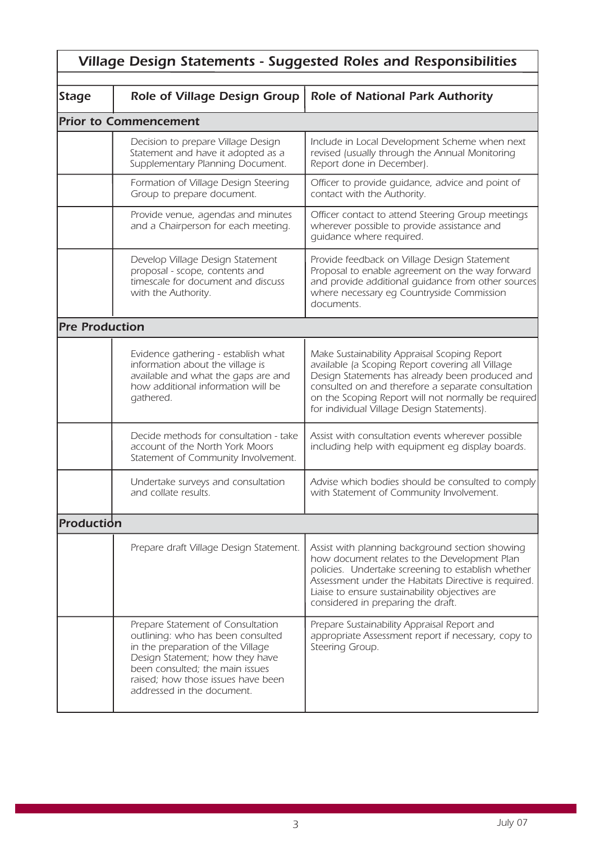| <b>Village Design Statements - Suggested Roles and Responsibilities</b> |                                                                                                                                                                                                                                                       |                                                                                                                                                                                                                                                                                                                |
|-------------------------------------------------------------------------|-------------------------------------------------------------------------------------------------------------------------------------------------------------------------------------------------------------------------------------------------------|----------------------------------------------------------------------------------------------------------------------------------------------------------------------------------------------------------------------------------------------------------------------------------------------------------------|
| <b>Stage</b>                                                            | <b>Role of Village Design Group</b>                                                                                                                                                                                                                   | <b>Role of National Park Authority</b>                                                                                                                                                                                                                                                                         |
|                                                                         | <b>Prior to Commencement</b>                                                                                                                                                                                                                          |                                                                                                                                                                                                                                                                                                                |
|                                                                         | Decision to prepare Village Design<br>Statement and have it adopted as a<br>Supplementary Planning Document.                                                                                                                                          | Include in Local Development Scheme when next<br>revised (usually through the Annual Monitoring<br>Report done in December).                                                                                                                                                                                   |
|                                                                         | Formation of Village Design Steering<br>Group to prepare document.                                                                                                                                                                                    | Officer to provide guidance, advice and point of<br>contact with the Authority.                                                                                                                                                                                                                                |
|                                                                         | Provide venue, agendas and minutes<br>and a Chairperson for each meeting.                                                                                                                                                                             | Officer contact to attend Steering Group meetings<br>wherever possible to provide assistance and<br>quidance where required.                                                                                                                                                                                   |
|                                                                         | Develop Village Design Statement<br>proposal - scope, contents and<br>timescale for document and discuss<br>with the Authority.                                                                                                                       | Provide feedback on Village Design Statement<br>Proposal to enable agreement on the way forward<br>and provide additional guidance from other sources<br>where necessary eg Countryside Commission<br>documents.                                                                                               |
| <b>Pre Production</b>                                                   |                                                                                                                                                                                                                                                       |                                                                                                                                                                                                                                                                                                                |
|                                                                         | Evidence gathering - establish what<br>information about the village is<br>available and what the gaps are and<br>how additional information will be<br>gathered.                                                                                     | Make Sustainability Appraisal Scoping Report<br>available (a Scoping Report covering all Village<br>Design Statements has already been produced and<br>consulted on and therefore a separate consultation<br>on the Scoping Report will not normally be required<br>for individual Village Design Statements). |
|                                                                         | Decide methods for consultation - take<br>account of the North York Moors<br>Statement of Community Involvement.                                                                                                                                      | Assist with consultation events wherever possible<br>including help with equipment eq display boards.                                                                                                                                                                                                          |
|                                                                         | Undertake surveys and consultation<br>and collate results.                                                                                                                                                                                            | Advise which bodies should be consulted to comply<br>with Statement of Community Involvement.                                                                                                                                                                                                                  |
| <b>Production</b>                                                       |                                                                                                                                                                                                                                                       |                                                                                                                                                                                                                                                                                                                |
|                                                                         | Prepare draft Village Design Statement.                                                                                                                                                                                                               | Assist with planning background section showing<br>how document relates to the Development Plan<br>policies. Undertake screening to establish whether<br>Assessment under the Habitats Directive is required.<br>Liaise to ensure sustainability objectives are<br>considered in preparing the draft.          |
|                                                                         | Prepare Statement of Consultation<br>outlining: who has been consulted<br>in the preparation of the Village<br>Design Statement; how they have<br>been consulted; the main issues<br>raised; how those issues have been<br>addressed in the document. | Prepare Sustainability Appraisal Report and<br>appropriate Assessment report if necessary, copy to<br>Steering Group.                                                                                                                                                                                          |